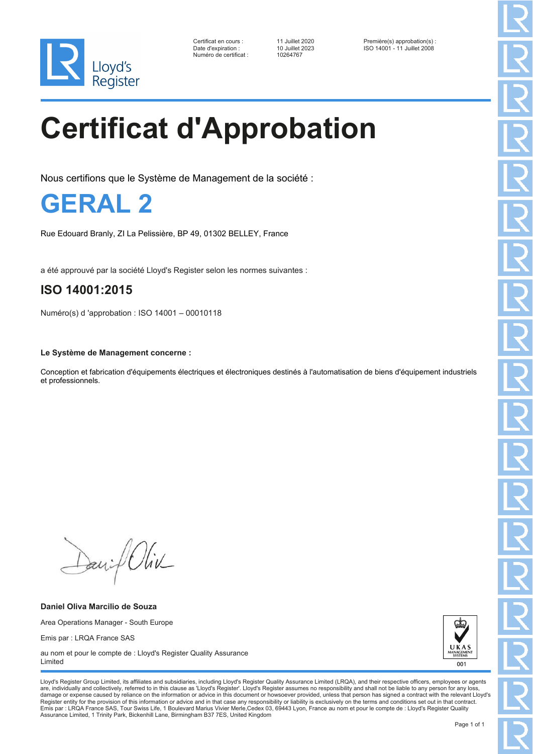

Numéro de certificat : 10264767

Certificat en cours : 11 Juillet 2020 Première(s) approbation(s) : Date d'expiration : 10 Juillet 2023 ISO 14001 - 11 Juillet 2008

# **Certificat d'Approbation**

Nous certifions que le Système de Management de la société :

**GERAL 2**

Rue Edouard Branly, ZI La Pelissière, BP 49, 01302 BELLEY, France

a été approuvé par la société Lloyd's Register selon les normes suivantes :

### **ISO 14001:2015**

Numéro(s) d 'approbation : ISO 14001 – 00010118

**Le Système de Management concerne :**

Conception et fabrication d'équipements électriques et électroniques destinés à l'automatisation de biens d'équipement industriels et professionnels.

David Oliv

**Daniel Oliva Marcilio de Souza** Area Operations Manager - South Europe Emis par : LRQA France SAS au nom et pour le compte de : Lloyd's Register Quality Assurance



Lloyd's Register Group Limited, its affiliates and subsidiaries, including Lloyd's Register Quality Assurance Limited (LRQA), and their respective officers, employees or agents are, individually and collectively, referred to in this clause as 'Lloyd's Register'. Lloyd's Register assumes no responsibility and shall not be liable to any person for any los damage or expense caused by reliance on the information or advice in this document or howsoever provided, unless that person has signed a contract with the relevant Lloyd's<br>Register entity for the provision of this informa Emis par : LRQA France SAS, Tour Swiss Life, 1 Boulevard Marius Vivier Merle,Cedex 03, 69443 Lyon, France au nom et pour le compte de : Lloyd's Register Quality Assurance Limited, 1 Trinity Park, Bickenhill Lane, Birmingham B37 7ES, United Kingdom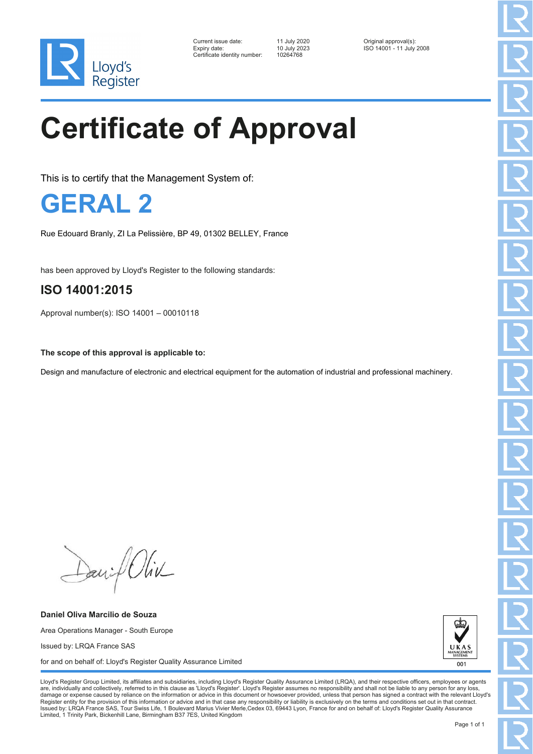

| Current issue date:          | 11 July 2020 | Original approval(s):    |
|------------------------------|--------------|--------------------------|
| Expiry date:                 | 10 July 2023 | ISO 14001 - 11 July 2008 |
| Certificate identity number: | 10264768     |                          |

Certificate identity number: 10264768

# **Certificate of Approval**

This is to certify that the Management System of:

**GERAL 2**

Rue Edouard Branly, ZI La Pelissière, BP 49, 01302 BELLEY, France

has been approved by Lloyd's Register to the following standards:

#### **ISO 14001:2015**

Approval number(s): ISO 14001 – 00010118

**The scope of this approval is applicable to:**

Design and manufacture of electronic and electrical equipment for the automation of industrial and professional machinery.

David Oliv

**Daniel Oliva Marcilio de Souza** Area Operations Manager - South Europe Issued by: LRQA France SAS for and on behalf of: Lloyd's Register Quality Assurance Limited



Lloyd's Register Group Limited, its affiliates and subsidiaries, including Lloyd's Register Quality Assurance Limited (LRQA), and their respective officers, employees or agents are, individually and collectively, referred to in this clause as 'Lloyd's Register'. Lloyd's Register assumes no responsibility and shall not be liable to any person for any los damage or expense caused by reliance on the information or advice in this document or howsoever provided, unless that person has signed a contract with the relevant Lloyd's<br>Register entity for the provision of this informa Issued by: LRQA France SAS, Tour Swiss Life, 1 Boulevard Marius Vivier Merle,Cedex 03, 69443 Lyon, France for and on behalf of: Lloyd's Register Quality Assurance Limited, 1 Trinity Park, Bickenhill Lane, Birmingham B37 7ES, United Kingdom